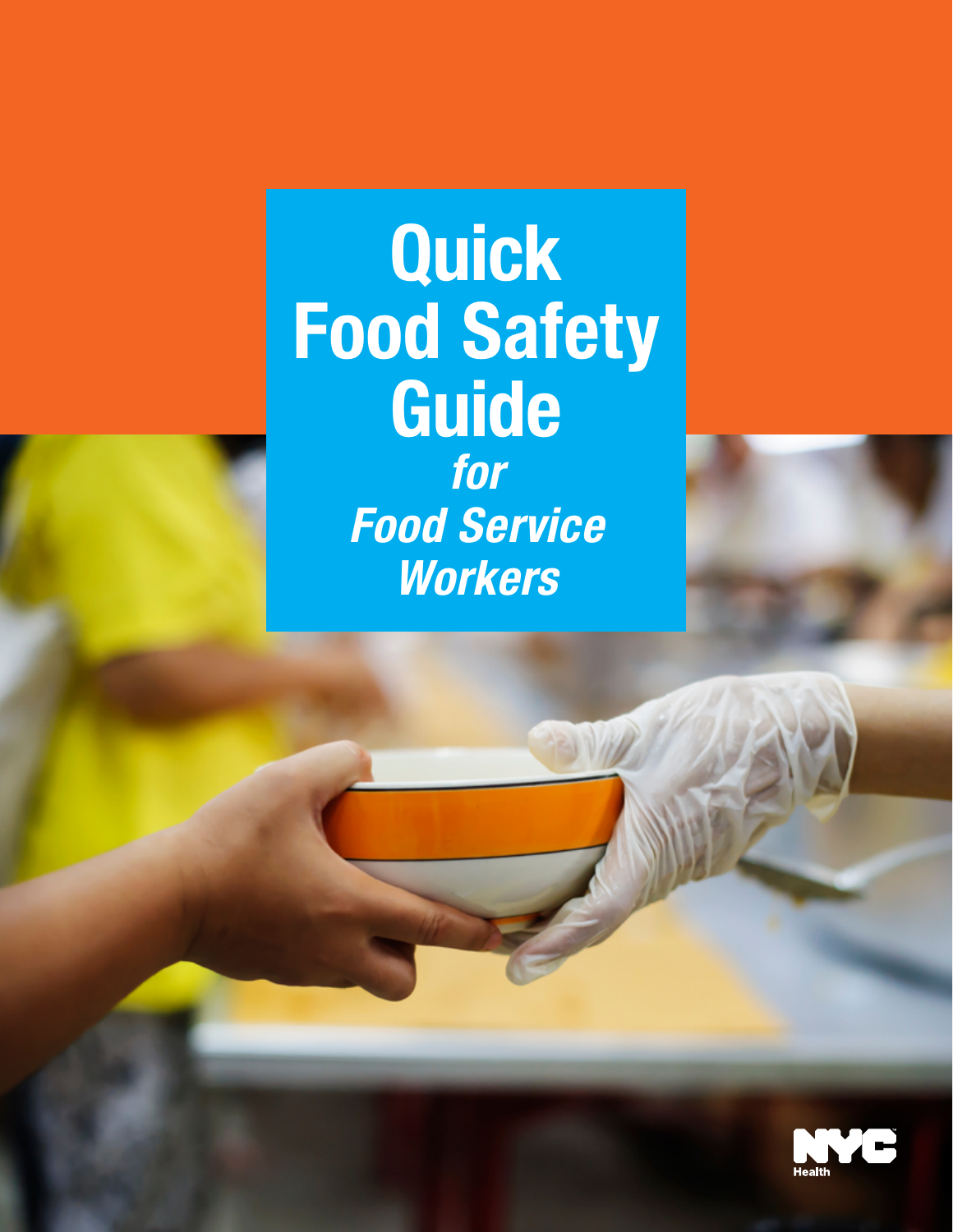**Quick** Food Safety Guide *for Food Service Workers*

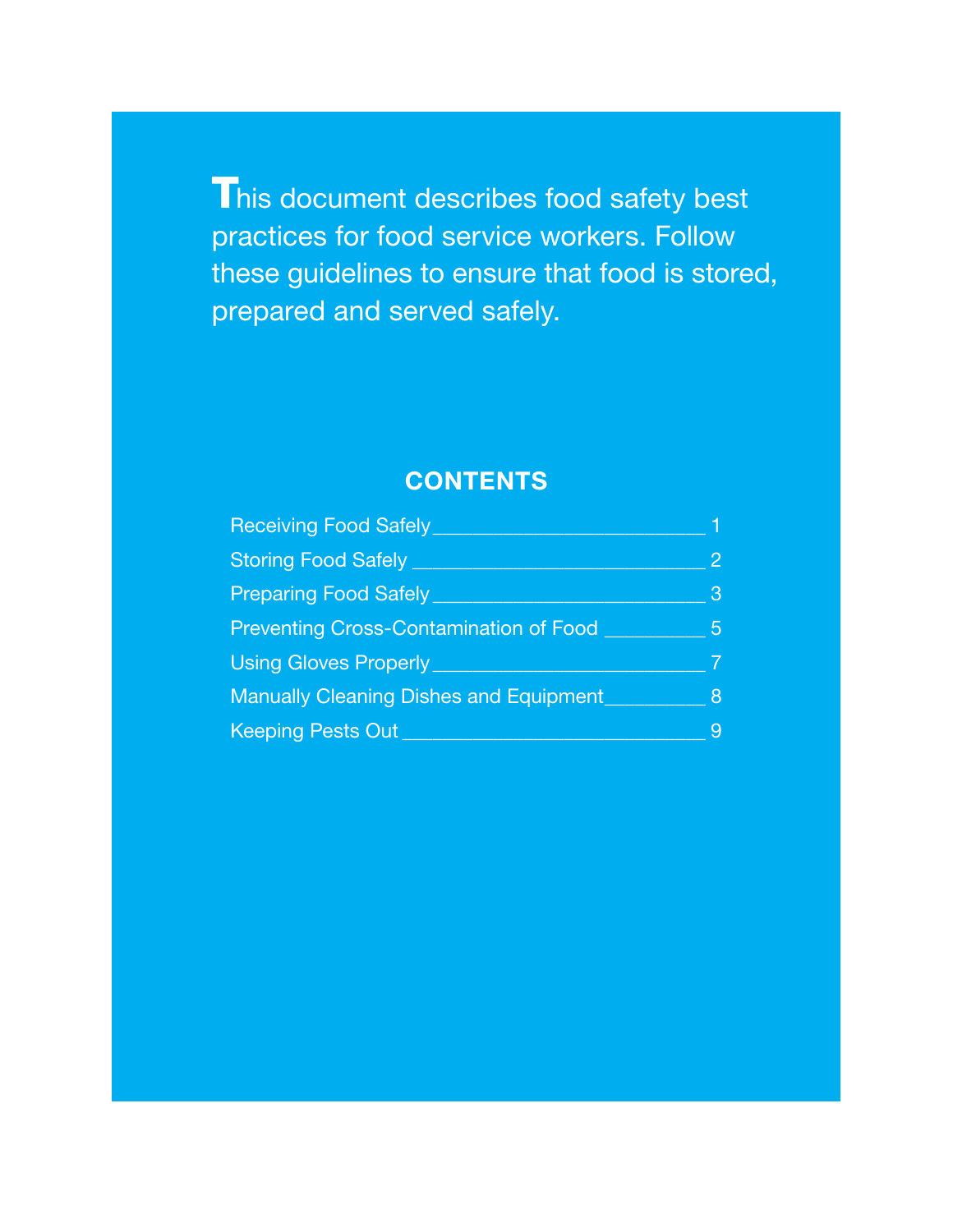This document describes food safety best practices for food service workers. Follow these guidelines to ensure that food is stored, prepared and served safely.

## **CONTENTS**

| <b>Receiving Food Safely</b>                  |                |
|-----------------------------------------------|----------------|
| <b>Storing Food Safely</b>                    | $\overline{2}$ |
| <b>Preparing Food Safely</b>                  | 3              |
| <b>Preventing Cross-Contamination of Food</b> | 5              |
| <b>Using Gloves Properly</b>                  |                |
| <b>Manually Cleaning Dishes and Equipment</b> | 8              |
| Keeping Pests Out                             | 9              |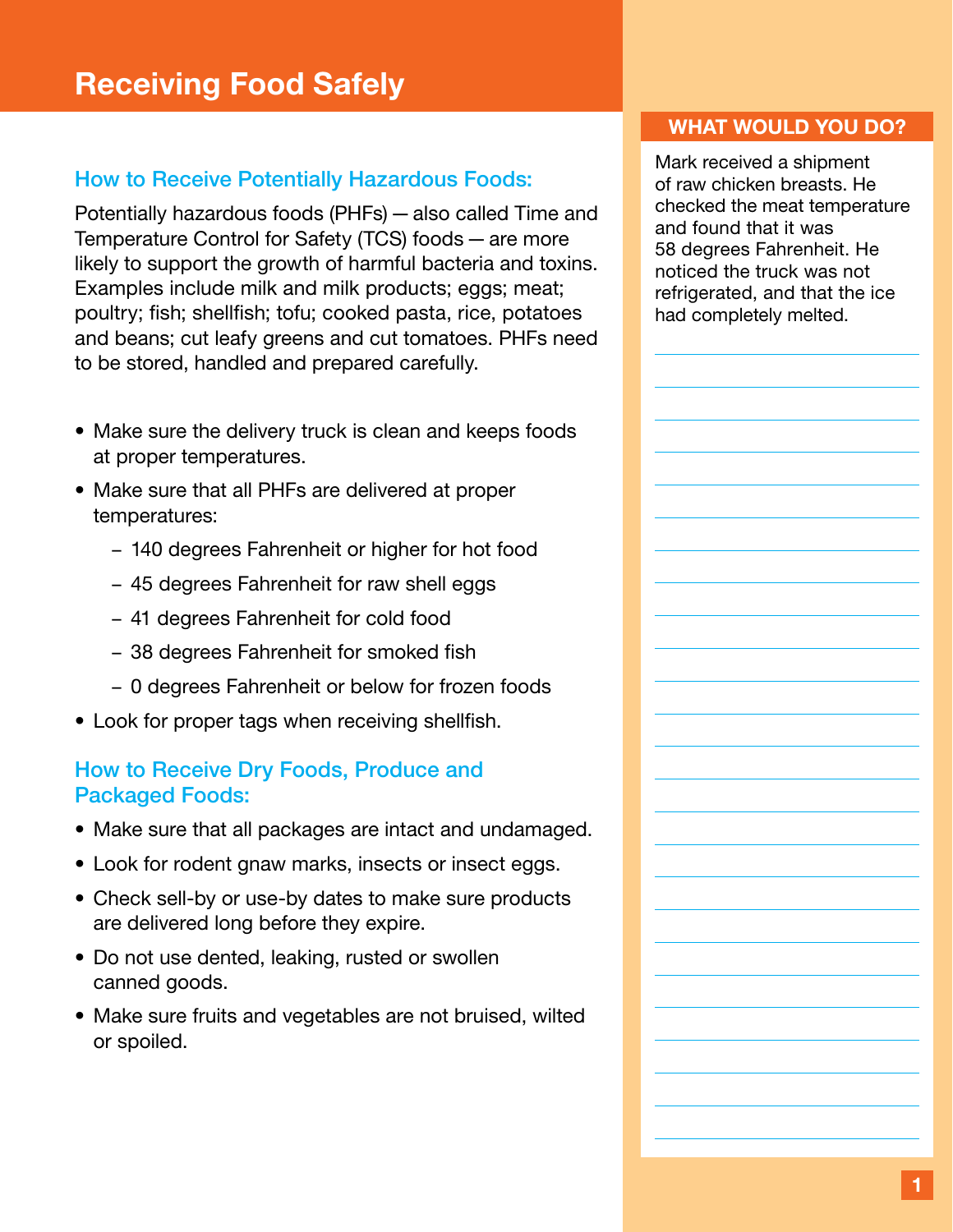## <span id="page-2-0"></span>How to Receive Potentially Hazardous Foods:

Potentially hazardous foods (PHFs)—also called Time and Temperature Control for Safety (TCS) foods—are more likely to support the growth of harmful bacteria and toxins. Examples include milk and milk products; eggs; meat; poultry; fish; shellfish; tofu; cooked pasta, rice, potatoes and beans; cut leafy greens and cut tomatoes. PHFs need to be stored, handled and prepared carefully.

- Make sure the delivery truck is clean and keeps foods at proper temperatures.
- Make sure that all PHFs are delivered at proper temperatures:
	- 140 degrees Fahrenheit or higher for hot food
	- 45 degrees Fahrenheit for raw shell eggs
	- 41 degrees Fahrenheit for cold food
	- 38 degrees Fahrenheit for smoked fish
	- 0 degrees Fahrenheit or below for frozen foods
- Look for proper tags when receiving shellfish.

## How to Receive Dry Foods, Produce and Packaged Foods:

- Make sure that all packages are intact and undamaged.
- Look for rodent gnaw marks, insects or insect eggs.
- Check sell-by or use-by dates to make sure products are delivered long before they expire.
- Do not use dented, leaking, rusted or swollen canned goods.
- Make sure fruits and vegetables are not bruised, wilted or spoiled.

### WHAT WOULD YOU DO?

Mark received a shipment of raw chicken breasts. He checked the meat temperature and found that it was 58 degrees Fahrenheit. He noticed the truck was not refrigerated, and that the ice had completely melted.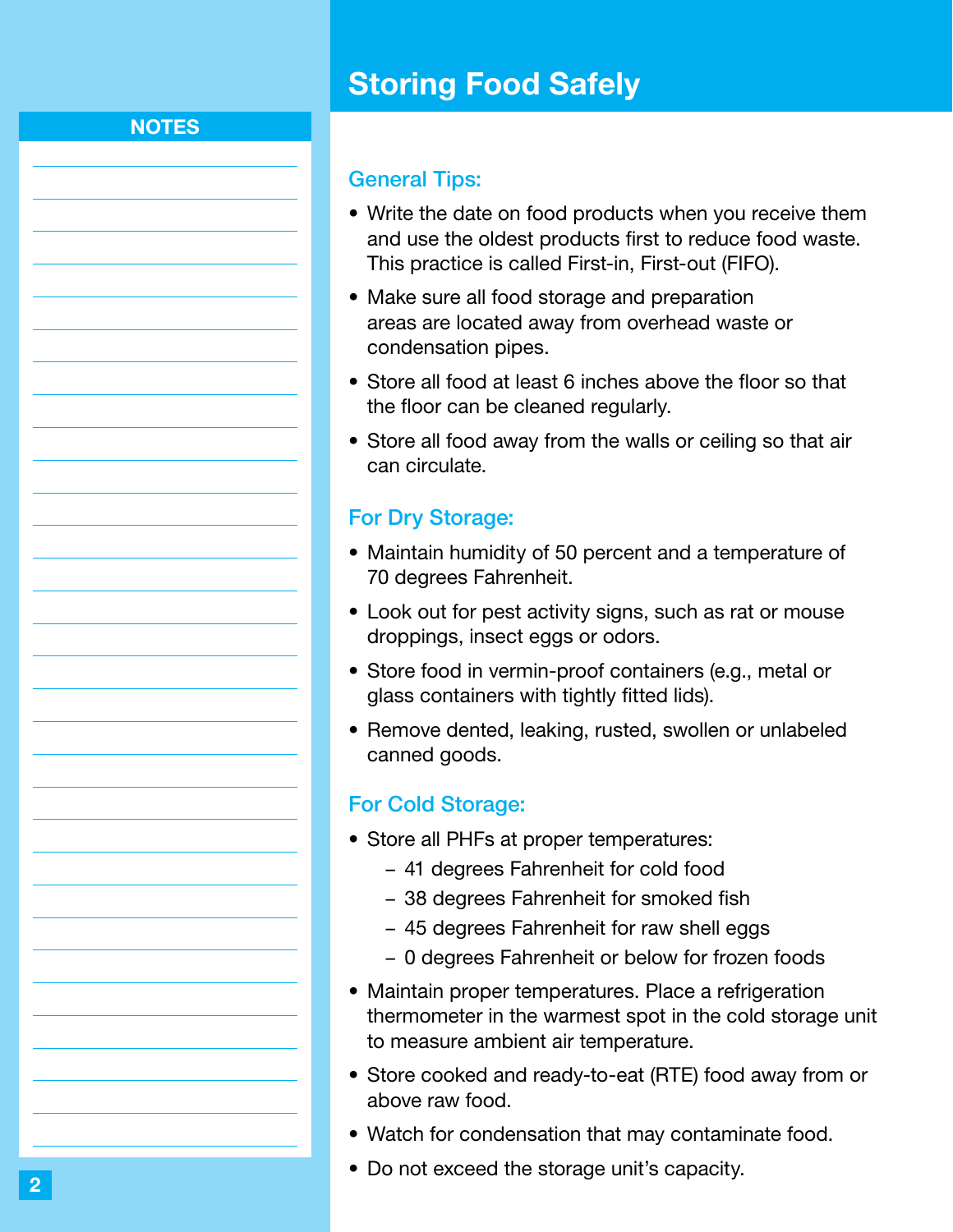# Storing Food Safely

### <span id="page-3-0"></span>**NOTES**

#### General Tips:

- Write the date on food products when you receive them and use the oldest products first to reduce food waste. This practice is called First-in, First-out (FIFO).
- Make sure all food storage and preparation areas are located away from overhead waste or condensation pipes.
- Store all food at least 6 inches above the floor so that the floor can be cleaned regularly.
- Store all food away from the walls or ceiling so that air can circulate.

#### For Dry Storage:

- Maintain humidity of 50 percent and a temperature of 70 degrees Fahrenheit.
- Look out for pest activity signs, such as rat or mouse droppings, insect eggs or odors.
- Store food in vermin-proof containers (e.g., metal or glass containers with tightly fitted lids).
- Remove dented, leaking, rusted, swollen or unlabeled canned goods.

#### For Cold Storage:

- Store all PHFs at proper temperatures:
	- 41 degrees Fahrenheit for cold food
	- 38 degrees Fahrenheit for smoked fish
	- 45 degrees Fahrenheit for raw shell eggs
	- 0 degrees Fahrenheit or below for frozen foods
- Maintain proper temperatures. Place a refrigeration thermometer in the warmest spot in the cold storage unit to measure ambient air temperature.
- Store cooked and ready-to-eat (RTE) food away from or above raw food.
- Watch for condensation that may contaminate food.
- Do not exceed the storage unit's capacity.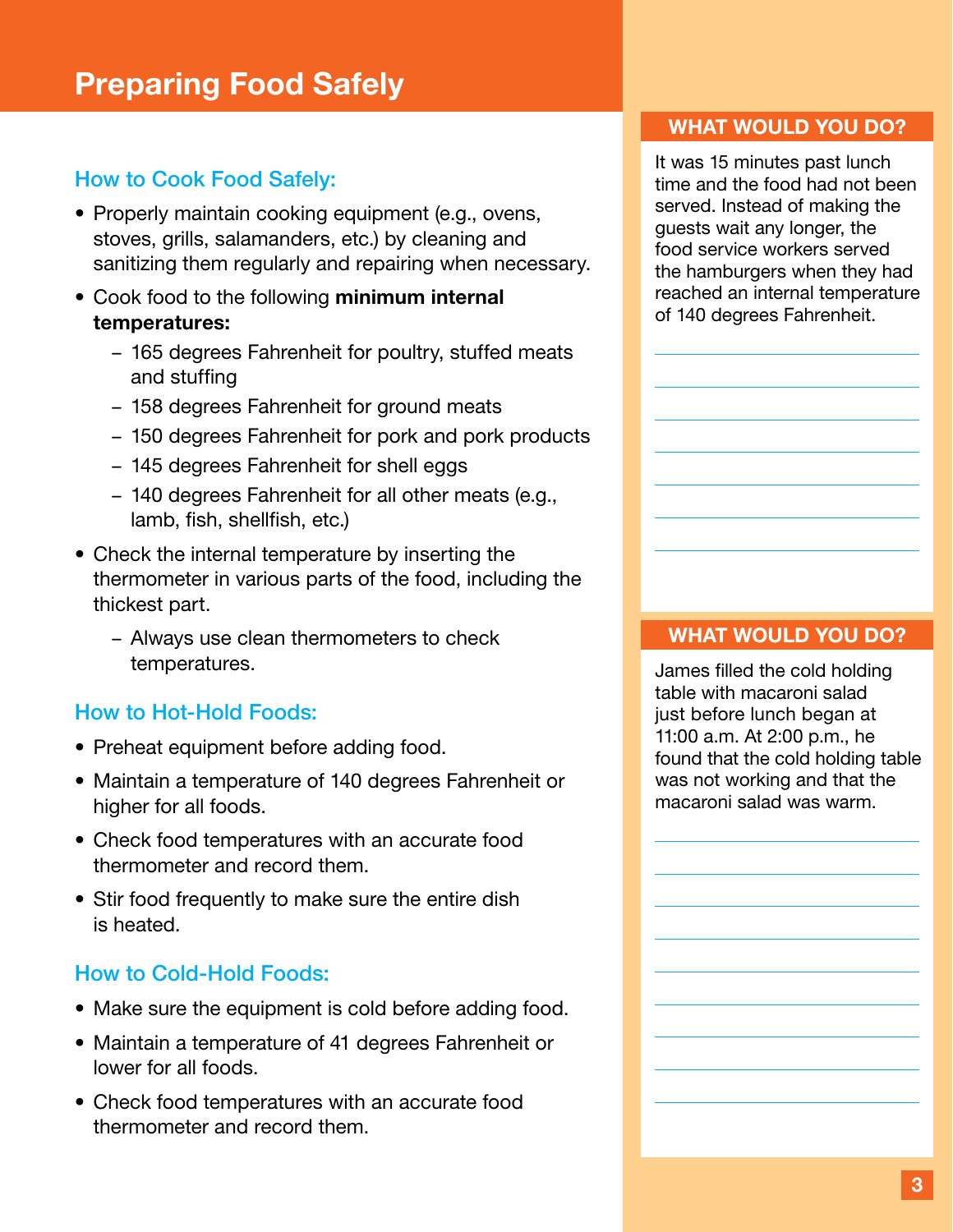# <span id="page-4-0"></span>Preparing Food Safely

## How to Cook Food Safely:

- Properly maintain cooking equipment (e.g., ovens, stoves, grills, salamanders, etc.) by cleaning and sanitizing them regularly and repairing when necessary.
- Cook food to the following minimum internal temperatures:
	- 165 degrees Fahrenheit for poultry, stuffed meats and stuffing
	- 158 degrees Fahrenheit for ground meats
	- 150 degrees Fahrenheit for pork and pork products
	- 145 degrees Fahrenheit for shell eggs
	- 140 degrees Fahrenheit for all other meats (e.g., lamb, fish, shellfish, etc.)
- Check the internal temperature by inserting the thermometer in various parts of the food, including the thickest part.
	- Always use clean thermometers to check temperatures.

### How to Hot-Hold Foods:

- Preheat equipment before adding food.
- Maintain a temperature of 140 degrees Fahrenheit or higher for all foods.
- Check food temperatures with an accurate food thermometer and record them.
- Stir food frequently to make sure the entire dish is heated.

## How to Cold-Hold Foods:

- Make sure the equipment is cold before adding food.
- Maintain a temperature of 41 degrees Fahrenheit or lower for all foods.
- Check food temperatures with an accurate food thermometer and record them.

#### WHAT WOULD YOU DO?

It was 15 minutes past lunch time and the food had not been served. Instead of making the guests wait any longer, the food service workers served the hamburgers when they had reached an internal temperature of 140 degrees Fahrenheit.

#### WHAT WOULD YOU DO?

James filled the cold holding table with macaroni salad just before lunch began at 11:00 a.m. At 2:00 p.m., he found that the cold holding table was not working and that the macaroni salad was warm.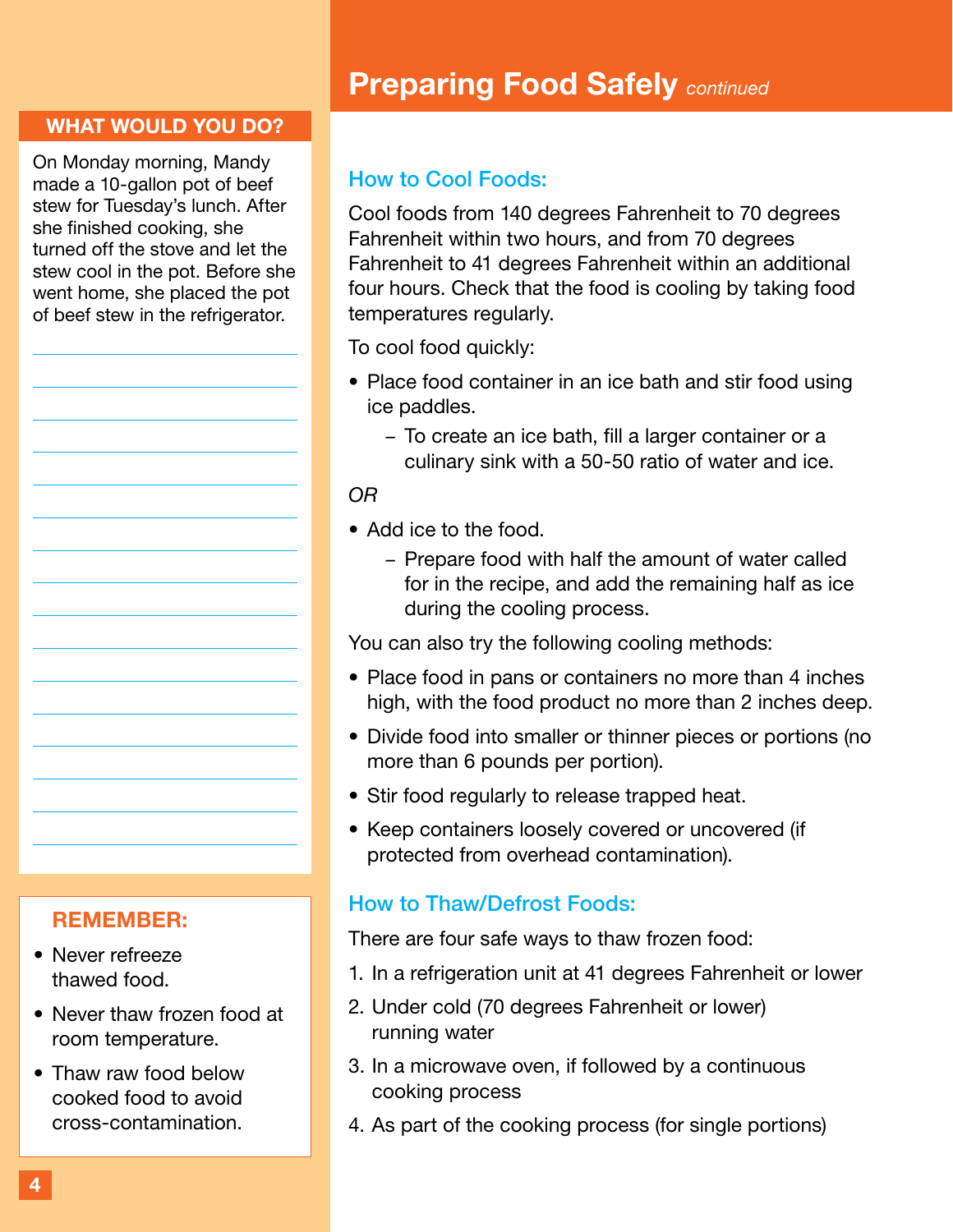#### WHAT WOULD YOU DO?

On Monday morning, Mandy made a 10-gallon pot of beef stew for Tuesday's lunch. After she finished cooking, she turned off the stove and let the stew cool in the pot. Before she went home, she placed the pot of beef stew in the refrigerator.

#### REMEMBER:

- Never refreeze thawed food.
- Never thaw frozen food at room temperature.
- Thaw raw food below cooked food to avoid cross-contamination.

# Preparing Food Safely *continued*

### How to Cool Foods:

Cool foods from 140 degrees Fahrenheit to 70 degrees Fahrenheit within two hours, and from 70 degrees Fahrenheit to 41 degrees Fahrenheit within an additional four hours. Check that the food is cooling by taking food temperatures regularly.

To cool food quickly:

- Place food container in an ice bath and stir food using ice paddles.
	- To create an ice bath, fill a larger container or a culinary sink with a 50-50 ratio of water and ice.

#### *OR*

- Add ice to the food.
	- Prepare food with half the amount of water called for in the recipe, and add the remaining half as ice during the cooling process.

You can also try the following cooling methods:

- Place food in pans or containers no more than 4 inches high, with the food product no more than 2 inches deep.
- Divide food into smaller or thinner pieces or portions (no more than 6 pounds per portion).
- Stir food regularly to release trapped heat.
- Keep containers loosely covered or uncovered (if protected from overhead contamination).

#### How to Thaw/Defrost Foods:

There are four safe ways to thaw frozen food:

- 1. In a refrigeration unit at 41 degrees Fahrenheit or lower
- 2. Under cold (70 degrees Fahrenheit or lower) running water
- 3. In a microwave oven, if followed by a continuous cooking process
- 4. As part of the cooking process (for single portions)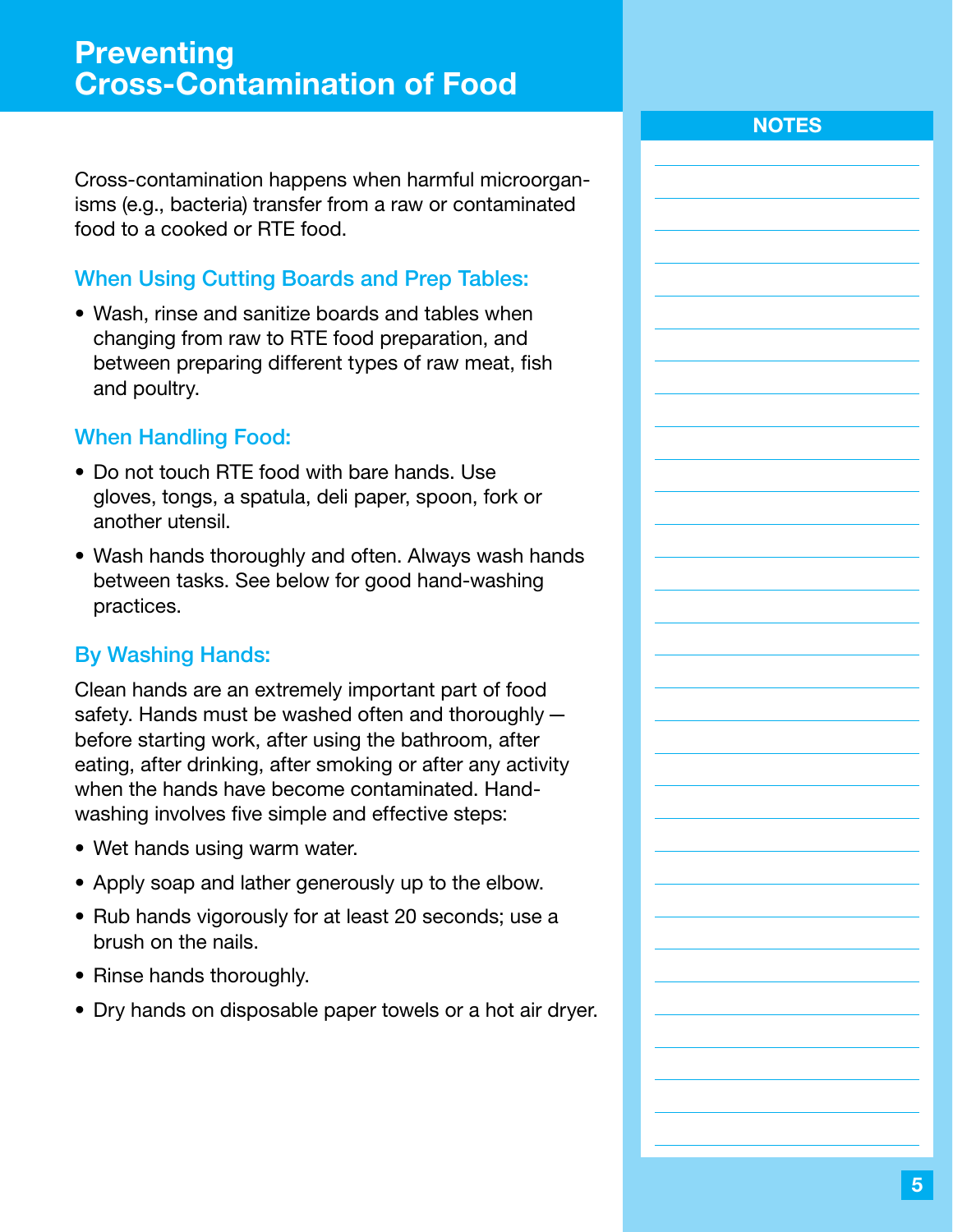<span id="page-6-0"></span>Cross-contamination happens when harmful microorganisms (e.g., bacteria) transfer from a raw or contaminated food to a cooked or RTE food.

## When Using Cutting Boards and Prep Tables:

• Wash, rinse and sanitize boards and tables when changing from raw to RTE food preparation, and between preparing different types of raw meat, fish and poultry.

## When Handling Food:

- Do not touch RTE food with bare hands. Use gloves, tongs, a spatula, deli paper, spoon, fork or another utensil.
- Wash hands thoroughly and often. Always wash hands between tasks. See below for good hand-washing practices.

## By Washing Hands:

Clean hands are an extremely important part of food safety. Hands must be washed often and thoroughly before starting work, after using the bathroom, after eating, after drinking, after smoking or after any activity when the hands have become contaminated. Handwashing involves five simple and effective steps:

- Wet hands using warm water.
- Apply soap and lather generously up to the elbow.
- Rub hands vigorously for at least 20 seconds; use a brush on the nails.
- Rinse hands thoroughly.
- Dry hands on disposable paper towels or a hot air dryer.

### **NOTES**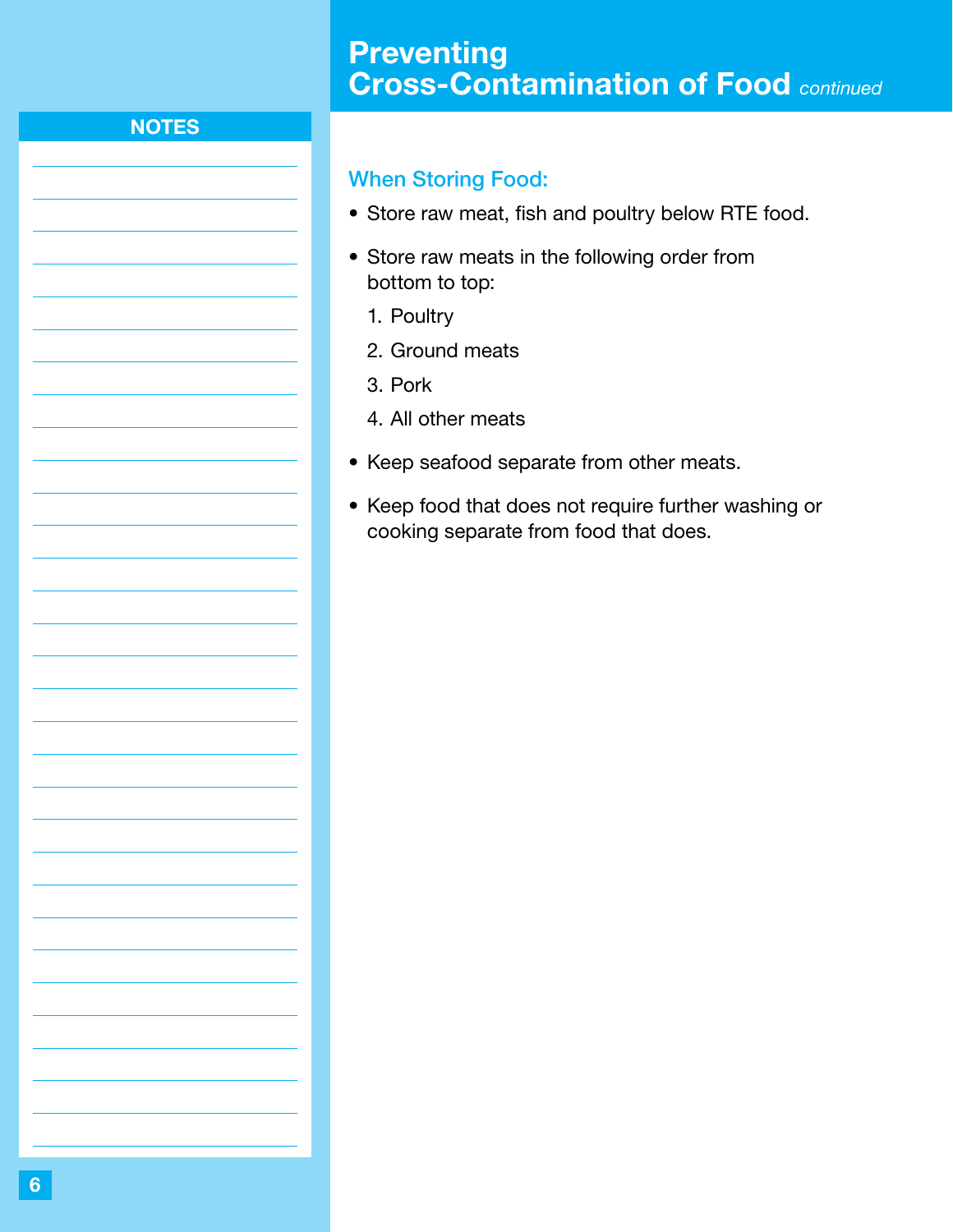# **Preventing** Cross-Contamination of Food *continued*

## **NOTES**

### When Storing Food:

- Store raw meat, fish and poultry below RTE food.
- Store raw meats in the following order from bottom to top:
	- 1. Poultry
	- 2. Ground meats
	- 3. Pork
	- 4. All other meats
- Keep seafood separate from other meats.
- Keep food that does not require further washing or cooking separate from food that does.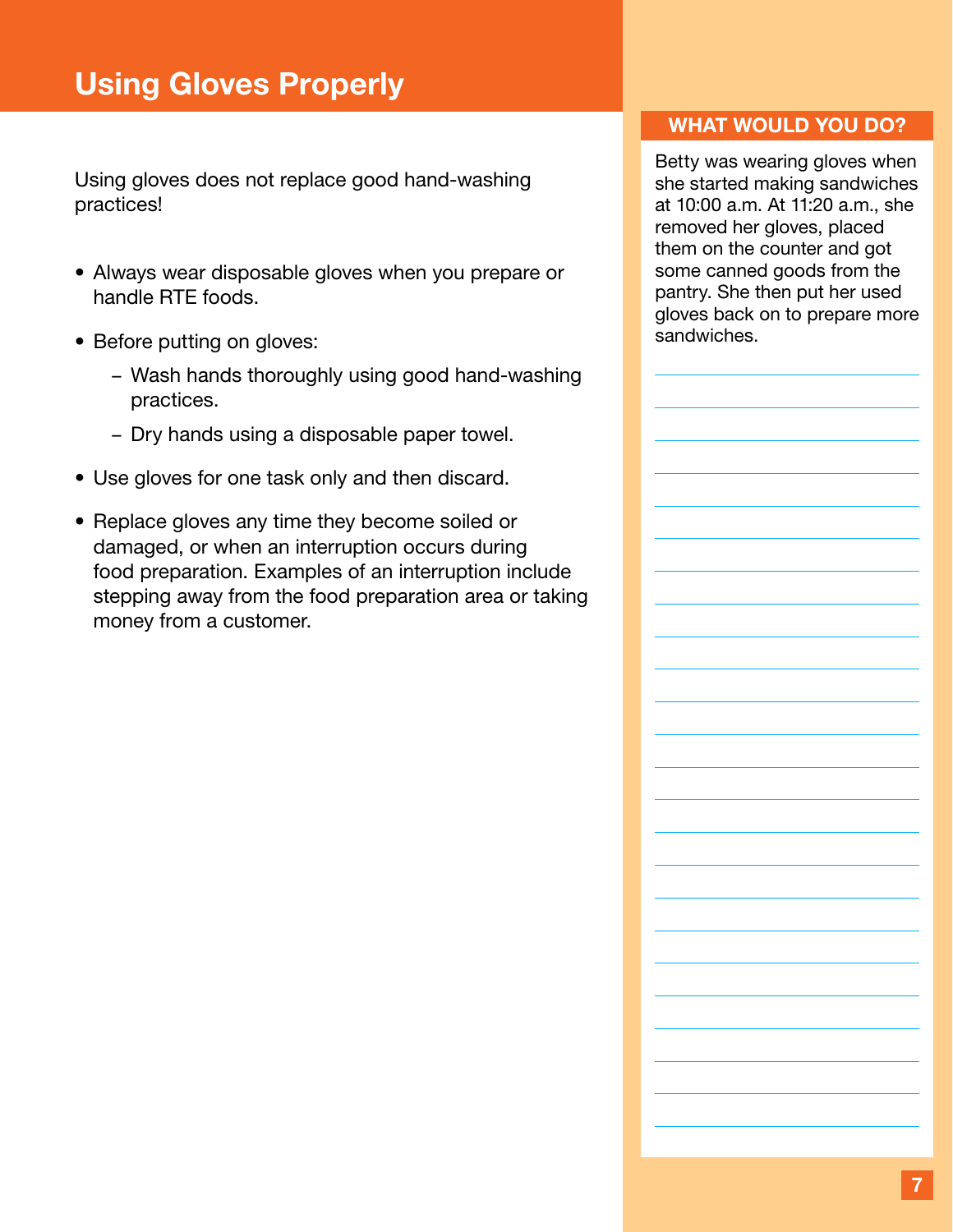<span id="page-8-0"></span>Using gloves does not replace good hand-washing practices!

- Always wear disposable gloves when you prepare or handle RTE foods.
- Before putting on gloves:
	- Wash hands thoroughly using good hand-washing practices.
	- Dry hands using a disposable paper towel.
- Use gloves for one task only and then discard.
- Replace gloves any time they become soiled or damaged, or when an interruption occurs during food preparation. Examples of an interruption include stepping away from the food preparation area or taking money from a customer.

#### WHAT WOULD YOU DO?

Betty was wearing gloves when she started making sandwiches at 10:00 a.m. At 11:20 a.m., she removed her gloves, placed them on the counter and got some canned goods from the pantry. She then put her used gloves back on to prepare more sandwiches.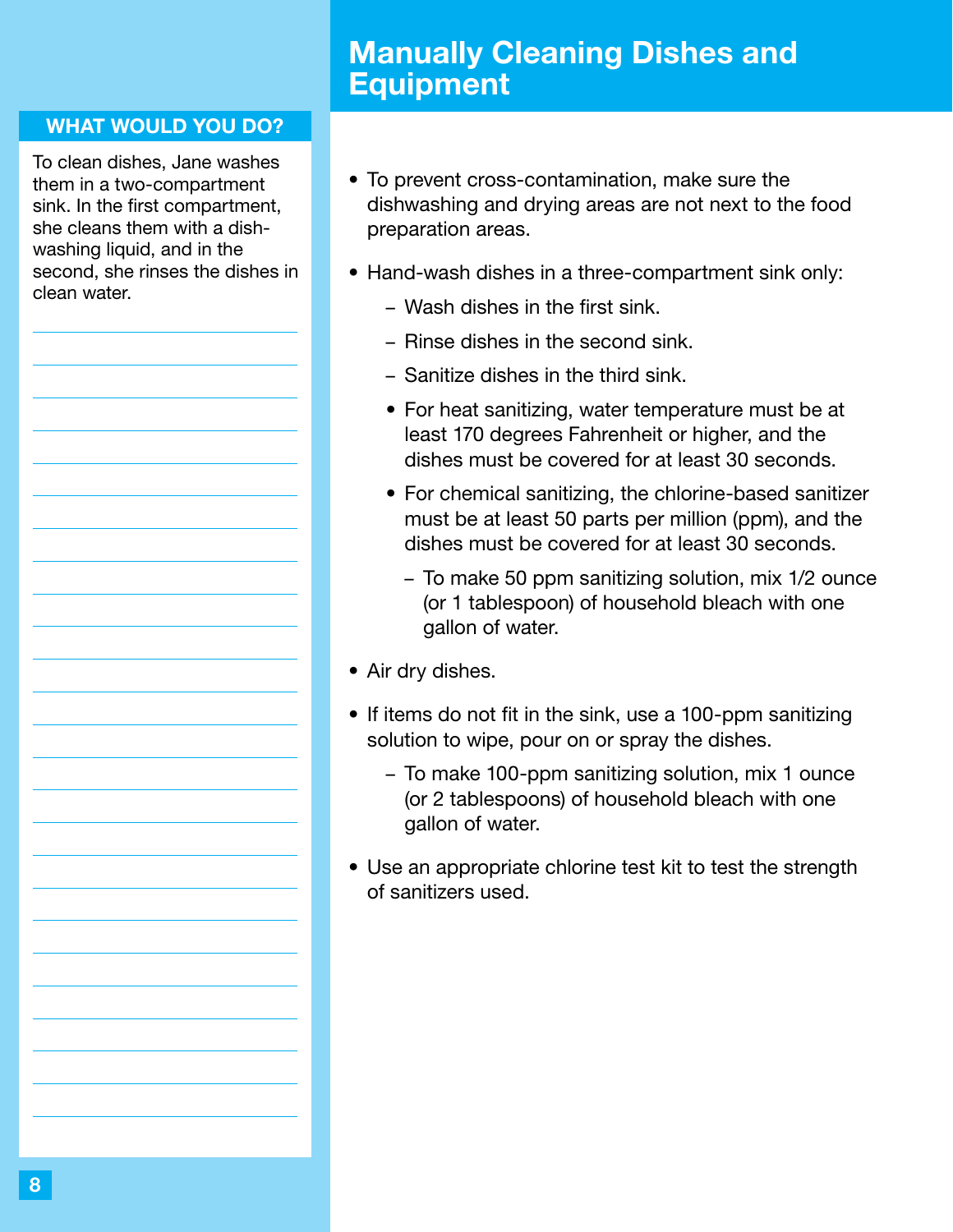# Manually Cleaning Dishes and Equipment

#### <span id="page-9-0"></span>WHAT WOULD YOU DO?

To clean dishes, Jane washes them in a two-compartment sink. In the first compartment, she cleans them with a dishwashing liquid, and in the second, she rinses the dishes in clean water.

- To prevent cross-contamination, make sure the dishwashing and drying areas are not next to the food preparation areas.
- Hand-wash dishes in a three-compartment sink only:
	- Wash dishes in the first sink.
	- Rinse dishes in the second sink.
	- Sanitize dishes in the third sink.
	- For heat sanitizing, water temperature must be at least 170 degrees Fahrenheit or higher, and the dishes must be covered for at least 30 seconds.
	- For chemical sanitizing, the chlorine-based sanitizer must be at least 50 parts per million (ppm), and the dishes must be covered for at least 30 seconds.
		- To make 50 ppm sanitizing solution, mix 1/2 ounce (or 1 tablespoon) of household bleach with one gallon of water.
- Air dry dishes.
- If items do not fit in the sink, use a 100-ppm sanitizing solution to wipe, pour on or spray the dishes.
	- To make 100-ppm sanitizing solution, mix 1 ounce (or 2 tablespoons) of household bleach with one gallon of water.
- Use an appropriate chlorine test kit to test the strength of sanitizers used.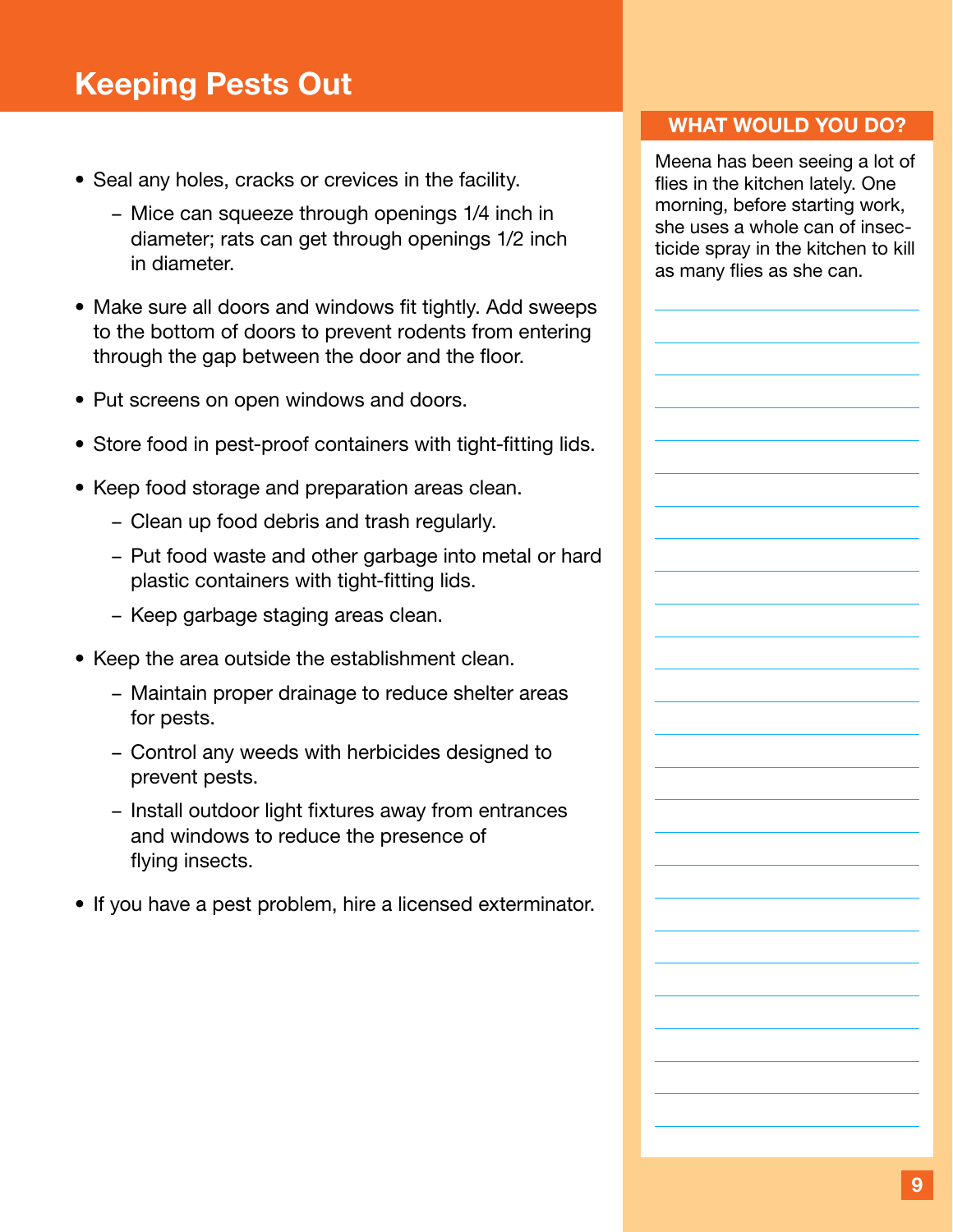# <span id="page-10-0"></span>Keeping Pests Out

- Seal any holes, cracks or crevices in the facility.
	- Mice can squeeze through openings 1/4 inch in diameter; rats can get through openings 1/2 inch in diameter.
- Make sure all doors and windows fit tightly. Add sweeps to the bottom of doors to prevent rodents from entering through the gap between the door and the floor.
- Put screens on open windows and doors.
- Store food in pest-proof containers with tight-fitting lids.
- Keep food storage and preparation areas clean.
	- Clean up food debris and trash regularly.
	- Put food waste and other garbage into metal or hard plastic containers with tight-fitting lids.
	- Keep garbage staging areas clean.
- Keep the area outside the establishment clean.
	- Maintain proper drainage to reduce shelter areas for pests.
	- Control any weeds with herbicides designed to prevent pests.
	- Install outdoor light fixtures away from entrances and windows to reduce the presence of flying insects.
- If you have a pest problem, hire a licensed exterminator.

#### WHAT WOULD YOU DO?

Meena has been seeing a lot of flies in the kitchen lately. One morning, before starting work, she uses a whole can of insecticide spray in the kitchen to kill as many flies as she can.